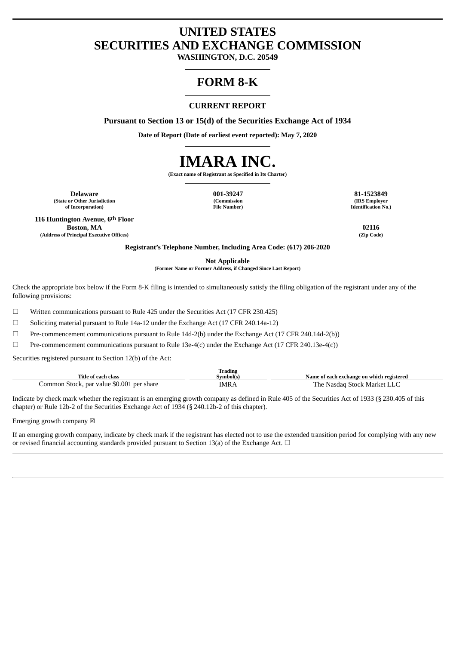# **UNITED STATES SECURITIES AND EXCHANGE COMMISSION**

**WASHINGTON, D.C. 20549**

# **FORM 8-K**

#### **CURRENT REPORT**

**Pursuant to Section 13 or 15(d) of the Securities Exchange Act of 1934**

**Date of Report (Date of earliest event reported): May 7, 2020**



**(Exact name of Registrant as Specified in Its Charter)**

**Delaware 001-39247 81-1523849 (State or Other Jurisdiction of Incorporation)**

**(Commission File Number)**

**(IRS Employer Identification No.)**

**116 Huntington Avenue, 6th Floor Boston, MA 02116 (Address of Principal Executive Offices) (Zip Code)**

**Registrant's Telephone Number, Including Area Code: (617) 206-2020**

**Not Applicable**

**(Former Name or Former Address, if Changed Since Last Report)**

Check the appropriate box below if the Form 8-K filing is intended to simultaneously satisfy the filing obligation of the registrant under any of the following provisions:

☐ Written communications pursuant to Rule 425 under the Securities Act (17 CFR 230.425)

☐ Soliciting material pursuant to Rule 14a-12 under the Exchange Act (17 CFR 240.14a-12)

☐ Pre-commencement communications pursuant to Rule 14d-2(b) under the Exchange Act (17 CFR 240.14d-2(b))

 $□$  Pre-commencement communications pursuant to Rule 13e-4(c) under the Exchange Act (17 CFR 240.13e-4(c))

Securities registered pursuant to Section 12(b) of the Act:

| Title of each class                       | <b>Trading</b><br>Symbol(s. | Name of each exchange on which registered |
|-------------------------------------------|-----------------------------|-------------------------------------------|
| Common Stock, par value \$0.001 per share | IMRA                        | The Nasdag Stock Market LLC               |

Indicate by check mark whether the registrant is an emerging growth company as defined in Rule 405 of the Securities Act of 1933 (§ 230.405 of this chapter) or Rule 12b-2 of the Securities Exchange Act of 1934 (§ 240.12b-2 of this chapter).

Emerging growth company  $\boxtimes$ 

If an emerging growth company, indicate by check mark if the registrant has elected not to use the extended transition period for complying with any new or revised financial accounting standards provided pursuant to Section 13(a) of the Exchange Act.  $\Box$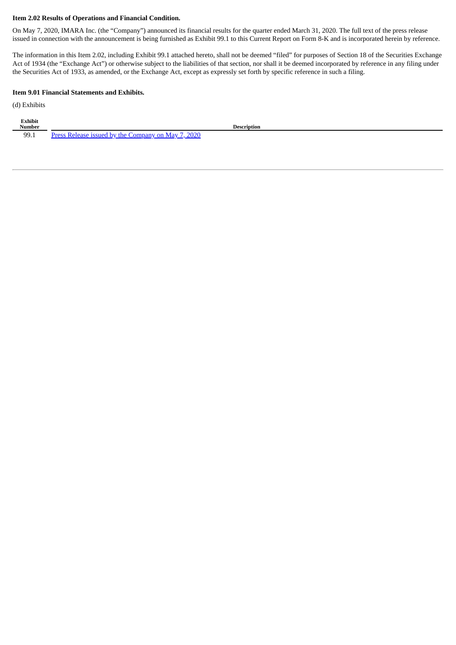#### **Item 2.02 Results of Operations and Financial Condition.**

On May 7, 2020, IMARA Inc. (the "Company") announced its financial results for the quarter ended March 31, 2020. The full text of the press release issued in connection with the announcement is being furnished as Exhibit 99.1 to this Current Report on Form 8-K and is incorporated herein by reference.

The information in this Item 2.02, including Exhibit 99.1 attached hereto, shall not be deemed "filed" for purposes of Section 18 of the Securities Exchange Act of 1934 (the "Exchange Act") or otherwise subject to the liabilities of that section, nor shall it be deemed incorporated by reference in any filing under the Securities Act of 1933, as amended, or the Exchange Act, except as expressly set forth by specific reference in such a filing.

#### **Item 9.01 Financial Statements and Exhibits.**

(d) Exhibits

| Exhibit<br>$\sim$ $\sim$<br><b>Number</b> |                                                                                               | Description |
|-------------------------------------------|-----------------------------------------------------------------------------------------------|-------------|
| 99.1                                      | 2020<br>M <sub>2V</sub><br>r the<br>Jrocc<br>hv.<br><b>Company</b> .<br>$\sim$<br>$ -$<br>م د |             |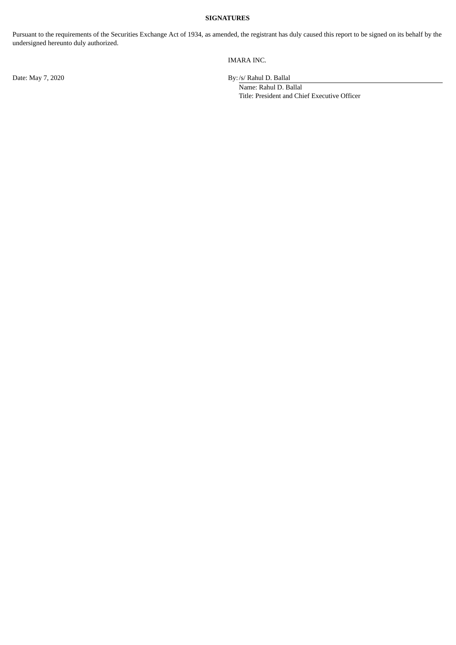#### **SIGNATURES**

Pursuant to the requirements of the Securities Exchange Act of 1934, as amended, the registrant has duly caused this report to be signed on its behalf by the undersigned hereunto duly authorized.

IMARA INC.

Date: May 7, 2020 By:/s/ Rahul D. Ballal

Name: Rahul D. Ballal Title: President and Chief Executive Officer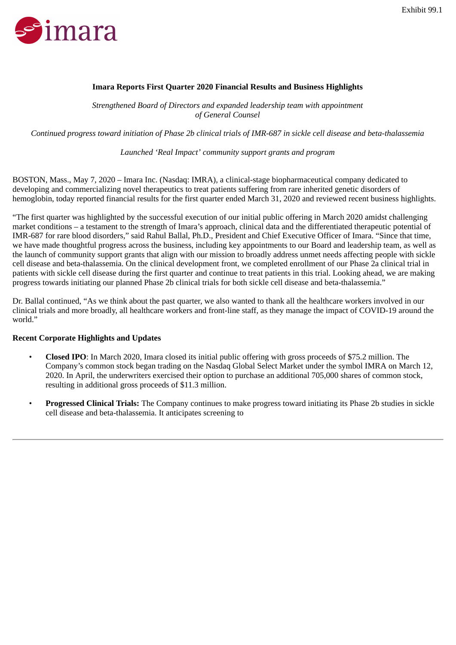<span id="page-3-0"></span>

### **Imara Reports First Quarter 2020 Financial Results and Business Highlights**

*Strengthened Board of Directors and expanded leadership team with appointment of General Counsel*

*Continued progress toward initiation of Phase 2b clinical trials of IMR-687 in sickle cell disease and beta-thalassemia*

*Launched 'Real Impact' community support grants and program*

BOSTON, Mass., May 7, 2020 – Imara Inc. (Nasdaq: IMRA), a clinical-stage biopharmaceutical company dedicated to developing and commercializing novel therapeutics to treat patients suffering from rare inherited genetic disorders of hemoglobin, today reported financial results for the first quarter ended March 31, 2020 and reviewed recent business highlights.

"The first quarter was highlighted by the successful execution of our initial public offering in March 2020 amidst challenging market conditions – a testament to the strength of Imara's approach, clinical data and the differentiated therapeutic potential of IMR-687 for rare blood disorders," said Rahul Ballal, Ph.D., President and Chief Executive Officer of Imara. "Since that time, we have made thoughtful progress across the business, including key appointments to our Board and leadership team, as well as the launch of community support grants that align with our mission to broadly address unmet needs affecting people with sickle cell disease and beta-thalassemia. On the clinical development front, we completed enrollment of our Phase 2a clinical trial in patients with sickle cell disease during the first quarter and continue to treat patients in this trial. Looking ahead, we are making progress towards initiating our planned Phase 2b clinical trials for both sickle cell disease and beta-thalassemia."

Dr. Ballal continued, "As we think about the past quarter, we also wanted to thank all the healthcare workers involved in our clinical trials and more broadly, all healthcare workers and front-line staff, as they manage the impact of COVID-19 around the world."

### **Recent Corporate Highlights and Updates**

- **Closed IPO**: In March 2020, Imara closed its initial public offering with gross proceeds of \$75.2 million. The Company's common stock began trading on the Nasdaq Global Select Market under the symbol IMRA on March 12, 2020. In April, the underwriters exercised their option to purchase an additional 705,000 shares of common stock, resulting in additional gross proceeds of \$11.3 million.
- **Progressed Clinical Trials:** The Company continues to make progress toward initiating its Phase 2b studies in sickle cell disease and beta-thalassemia. It anticipates screening to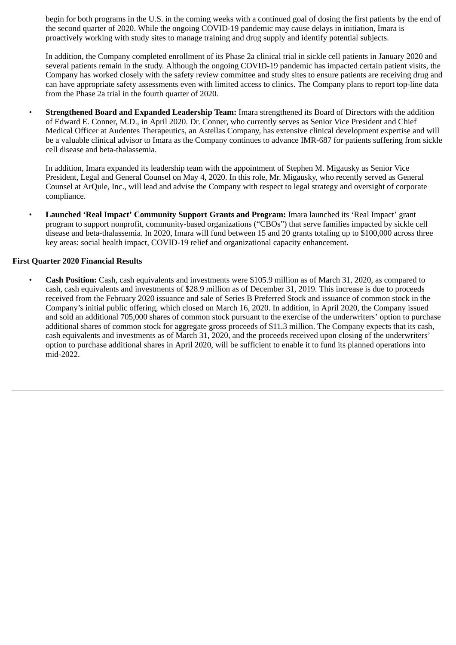begin for both programs in the U.S. in the coming weeks with a continued goal of dosing the first patients by the end of the second quarter of 2020. While the ongoing COVID-19 pandemic may cause delays in initiation, Imara is proactively working with study sites to manage training and drug supply and identify potential subjects.

In addition, the Company completed enrollment of its Phase 2a clinical trial in sickle cell patients in January 2020 and several patients remain in the study. Although the ongoing COVID-19 pandemic has impacted certain patient visits, the Company has worked closely with the safety review committee and study sites to ensure patients are receiving drug and can have appropriate safety assessments even with limited access to clinics. The Company plans to report top-line data from the Phase 2a trial in the fourth quarter of 2020.

• **Strengthened Board and Expanded Leadership Team:** Imara strengthened its Board of Directors with the addition of Edward E. Conner, M.D., in April 2020. Dr. Conner, who currently serves as Senior Vice President and Chief Medical Officer at Audentes Therapeutics, an Astellas Company, has extensive clinical development expertise and will be a valuable clinical advisor to Imara as the Company continues to advance IMR-687 for patients suffering from sickle cell disease and beta-thalassemia.

In addition, Imara expanded its leadership team with the appointment of Stephen M. Migausky as Senior Vice President, Legal and General Counsel on May 4, 2020. In this role, Mr. Migausky, who recently served as General Counsel at ArQule, Inc., will lead and advise the Company with respect to legal strategy and oversight of corporate compliance.

• **Launched 'Real Impact' Community Support Grants and Program:** Imara launched its 'Real Impact' grant program to support nonprofit, community-based organizations ("CBOs") that serve families impacted by sickle cell disease and beta-thalassemia. In 2020, Imara will fund between 15 and 20 grants totaling up to \$100,000 across three key areas: social health impact, COVID-19 relief and organizational capacity enhancement.

### **First Quarter 2020 Financial Results**

• **Cash Position:** Cash, cash equivalents and investments were \$105.9 million as of March 31, 2020, as compared to cash, cash equivalents and investments of \$28.9 million as of December 31, 2019. This increase is due to proceeds received from the February 2020 issuance and sale of Series B Preferred Stock and issuance of common stock in the Company's initial public offering, which closed on March 16, 2020. In addition, in April 2020, the Company issued and sold an additional 705,000 shares of common stock pursuant to the exercise of the underwriters' option to purchase additional shares of common stock for aggregate gross proceeds of \$11.3 million. The Company expects that its cash, cash equivalents and investments as of March 31, 2020, and the proceeds received upon closing of the underwriters' option to purchase additional shares in April 2020, will be sufficient to enable it to fund its planned operations into mid-2022.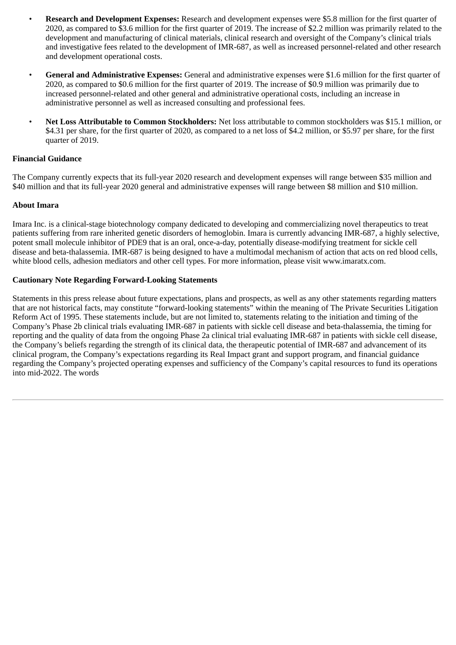- **Research and Development Expenses:** Research and development expenses were \$5.8 million for the first quarter of 2020, as compared to \$3.6 million for the first quarter of 2019. The increase of \$2.2 million was primarily related to the development and manufacturing of clinical materials, clinical research and oversight of the Company's clinical trials and investigative fees related to the development of IMR-687, as well as increased personnel-related and other research and development operational costs.
- **General and Administrative Expenses:** General and administrative expenses were \$1.6 million for the first quarter of 2020, as compared to \$0.6 million for the first quarter of 2019. The increase of \$0.9 million was primarily due to increased personnel-related and other general and administrative operational costs, including an increase in administrative personnel as well as increased consulting and professional fees.
- **Net Loss Attributable to Common Stockholders:** Net loss attributable to common stockholders was \$15.1 million, or \$4.31 per share, for the first quarter of 2020, as compared to a net loss of \$4.2 million, or \$5.97 per share, for the first quarter of 2019.

### **Financial Guidance**

The Company currently expects that its full-year 2020 research and development expenses will range between \$35 million and \$40 million and that its full-year 2020 general and administrative expenses will range between \$8 million and \$10 million.

## **About Imara**

Imara Inc. is a clinical-stage biotechnology company dedicated to developing and commercializing novel therapeutics to treat patients suffering from rare inherited genetic disorders of hemoglobin. Imara is currently advancing IMR-687, a highly selective, potent small molecule inhibitor of PDE9 that is an oral, once-a-day, potentially disease-modifying treatment for sickle cell disease and beta-thalassemia. IMR-687 is being designed to have a multimodal mechanism of action that acts on red blood cells, white blood cells, adhesion mediators and other cell types. For more information, please visit www.imaratx.com.

## **Cautionary Note Regarding Forward-Looking Statements**

Statements in this press release about future expectations, plans and prospects, as well as any other statements regarding matters that are not historical facts, may constitute "forward-looking statements" within the meaning of The Private Securities Litigation Reform Act of 1995. These statements include, but are not limited to, statements relating to the initiation and timing of the Company's Phase 2b clinical trials evaluating IMR-687 in patients with sickle cell disease and beta-thalassemia, the timing for reporting and the quality of data from the ongoing Phase 2a clinical trial evaluating IMR-687 in patients with sickle cell disease, the Company's beliefs regarding the strength of its clinical data, the therapeutic potential of IMR-687 and advancement of its clinical program, the Company's expectations regarding its Real Impact grant and support program, and financial guidance regarding the Company's projected operating expenses and sufficiency of the Company's capital resources to fund its operations into mid-2022. The words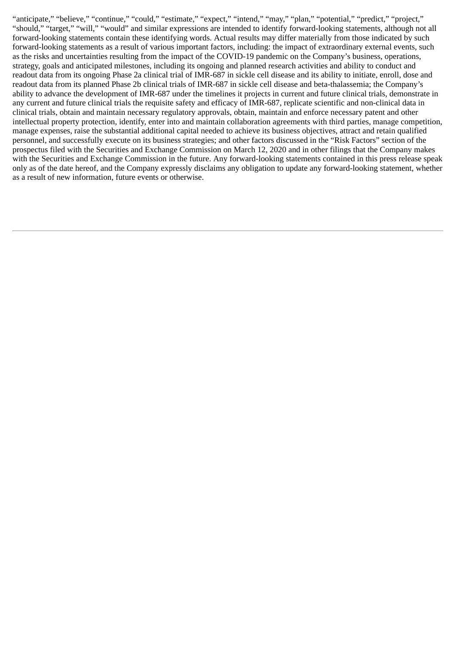"anticipate," "believe," "continue," "could," "estimate," "expect," "intend," "may," "plan," "potential," "predict," "project," "should," "target," "will," "would" and similar expressions are intended to identify forward-looking statements, although not all forward-looking statements contain these identifying words. Actual results may differ materially from those indicated by such forward-looking statements as a result of various important factors, including: the impact of extraordinary external events, such as the risks and uncertainties resulting from the impact of the COVID-19 pandemic on the Company's business, operations, strategy, goals and anticipated milestones, including its ongoing and planned research activities and ability to conduct and readout data from its ongoing Phase 2a clinical trial of IMR-687 in sickle cell disease and its ability to initiate, enroll, dose and readout data from its planned Phase 2b clinical trials of IMR-687 in sickle cell disease and beta-thalassemia; the Company's ability to advance the development of IMR-687 under the timelines it projects in current and future clinical trials, demonstrate in any current and future clinical trials the requisite safety and efficacy of IMR-687, replicate scientific and non-clinical data in clinical trials, obtain and maintain necessary regulatory approvals, obtain, maintain and enforce necessary patent and other intellectual property protection, identify, enter into and maintain collaboration agreements with third parties, manage competition, manage expenses, raise the substantial additional capital needed to achieve its business objectives, attract and retain qualified personnel, and successfully execute on its business strategies; and other factors discussed in the "Risk Factors" section of the prospectus filed with the Securities and Exchange Commission on March 12, 2020 and in other filings that the Company makes with the Securities and Exchange Commission in the future. Any forward-looking statements contained in this press release speak only as of the date hereof, and the Company expressly disclaims any obligation to update any forward-looking statement, whether as a result of new information, future events or otherwise.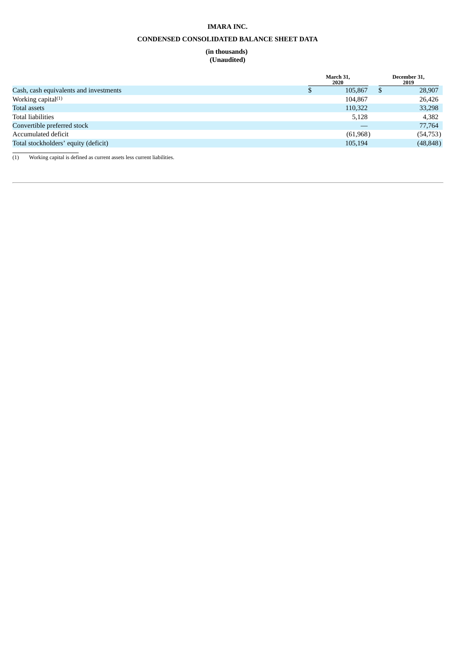#### **IMARA INC.**

#### **CONDENSED CONSOLIDATED BALANCE SHEET DATA**

**(in thousands) (Unaudited)**

|                                        |   | March 31,<br>2020 |   | December 31,<br>2019 |
|----------------------------------------|---|-------------------|---|----------------------|
| Cash, cash equivalents and investments | D | 105,867           | ъ | 28,907               |
| Working capital <sup>(1)</sup>         |   | 104.867           |   | 26,426               |
| Total assets                           |   | 110,322           |   | 33,298               |
| <b>Total liabilities</b>               |   | 5,128             |   | 4,382                |
| Convertible preferred stock            |   |                   |   | 77,764               |
| Accumulated deficit                    |   | (61,968)          |   | (54, 753)            |
| Total stockholders' equity (deficit)   |   | 105,194           |   | (48, 848)            |
|                                        |   |                   |   |                      |

(1) Working capital is defined as current assets less current liabilities.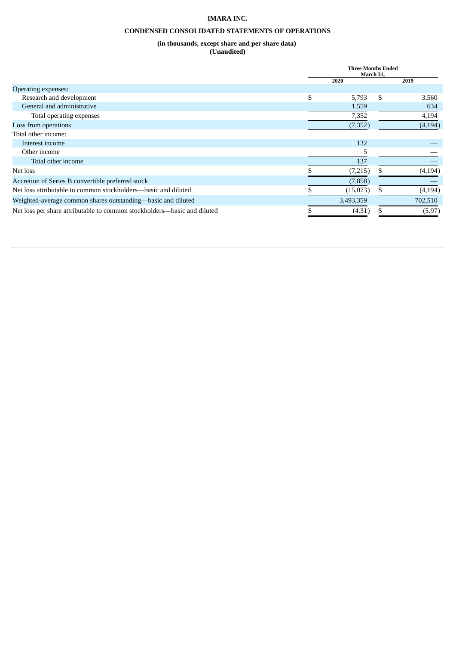#### **IMARA INC.**

#### **CONDENSED CONSOLIDATED STATEMENTS OF OPERATIONS**

#### **(in thousands, except share and per share data) (Unaudited)**

|                                                                          | <b>Three Months Ended</b><br>March 31, |      |          |
|--------------------------------------------------------------------------|----------------------------------------|------|----------|
|                                                                          | 2020                                   | 2019 |          |
| <b>Operating expenses:</b>                                               |                                        |      |          |
| Research and development                                                 | \$<br>5,793                            | \$   | 3,560    |
| General and administrative                                               | 1,559                                  |      | 634      |
| Total operating expenses                                                 | 7,352                                  |      | 4,194    |
| Loss from operations                                                     | (7, 352)                               |      | (4,194)  |
| Total other income:                                                      |                                        |      |          |
| Interest income                                                          | 132                                    |      |          |
| Other income                                                             | 5                                      |      |          |
| Total other income                                                       | 137                                    |      |          |
| Net loss                                                                 | (7,215)                                |      | (4, 194) |
| Accretion of Series B convertible preferred stock                        | (7,858)                                |      |          |
| Net loss attributable to common stockholders—basic and diluted           | (15,073)                               | S    | (4, 194) |
| Weighted-average common shares outstanding—basic and diluted             | 3,493,359                              |      | 702,510  |
| Net loss per share attributable to common stockholders—basic and diluted | (4.31)                                 |      | (5.97)   |